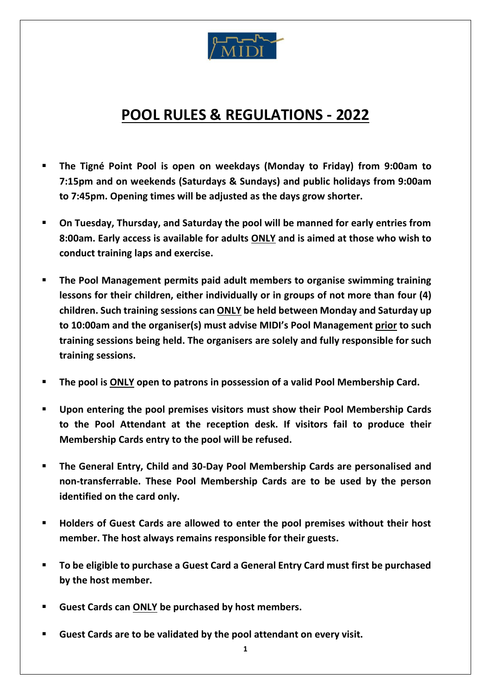

## **POOL RULES & REGULATIONS - 2022**

- **The Tigné Point Pool is open on weekdays (Monday to Friday) from 9:00am to 7:15pm and on weekends (Saturdays & Sundays) and public holidays from 9:00am to 7:45pm. Opening times will be adjusted as the days grow shorter.**
- **On Tuesday, Thursday, and Saturday the pool will be manned for early entries from 8:00am. Early access is available for adults ONLY and is aimed at those who wish to conduct training laps and exercise.**
- **The Pool Management permits paid adult members to organise swimming training lessons for their children, either individually or in groups of not more than four (4) children. Such training sessions can ONLY be held between Monday and Saturday up to 10:00am and the organiser(s) must advise MIDI's Pool Management prior to such training sessions being held. The organisers are solely and fully responsible for such training sessions.**
- **The pool is ONLY open to patrons in possession of a valid Pool Membership Card.**
- **Upon entering the pool premises visitors must show their Pool Membership Cards to the Pool Attendant at the reception desk. If visitors fail to produce their Membership Cards entry to the pool will be refused.**
- **The General Entry, Child and 30-Day Pool Membership Cards are personalised and non-transferrable. These Pool Membership Cards are to be used by the person identified on the card only.**
- **Holders of Guest Cards are allowed to enter the pool premises without their host member. The host always remains responsible for their guests.**
- **To be eligible to purchase a Guest Card a General Entry Card must first be purchased by the host member.**
- **Guest Cards can ONLY be purchased by host members.**
- **Guest Cards are to be validated by the pool attendant on every visit.**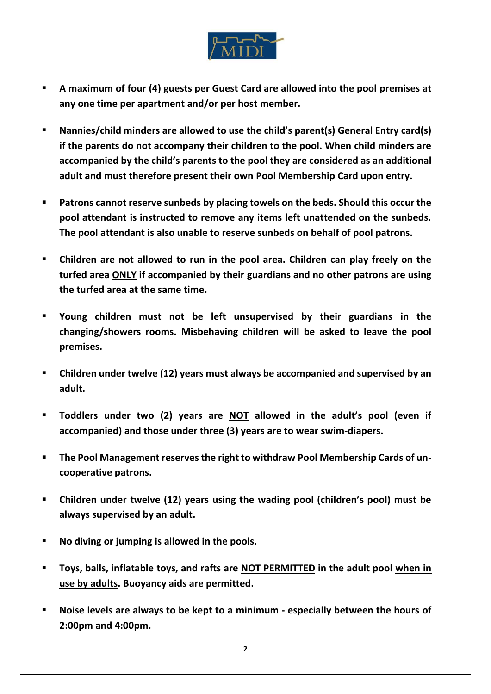

- **A maximum of four (4) guests per Guest Card are allowed into the pool premises at any one time per apartment and/or per host member.**
- **Nannies/child minders are allowed to use the child's parent(s) General Entry card(s) if the parents do not accompany their children to the pool. When child minders are accompanied by the child's parents to the pool they are considered as an additional adult and must therefore present their own Pool Membership Card upon entry.**
- Patrons cannot reserve sunbeds by placing towels on the beds. Should this occur the **pool attendant is instructed to remove any items left unattended on the sunbeds. The pool attendant is also unable to reserve sunbeds on behalf of pool patrons.**
- **Children are not allowed to run in the pool area. Children can play freely on the turfed area ONLY if accompanied by their guardians and no other patrons are using the turfed area at the same time.**
- **Young children must not be left unsupervised by their guardians in the changing/showers rooms. Misbehaving children will be asked to leave the pool premises.**
- **Children under twelve (12) years must always be accompanied and supervised by an adult.**
- **Toddlers under two (2) years are NOT allowed in the adult's pool (even if accompanied) and those under three (3) years are to wear swim‐diapers.**
- **The Pool Management reserves the right to withdraw Pool Membership Cards of uncooperative patrons.**
- **Children under twelve (12) years using the wading pool (children's pool) must be always supervised by an adult.**
- **No diving or jumping is allowed in the pools.**
- **Toys, balls, inflatable toys, and rafts are NOT PERMITTED in the adult pool when in use by adults. Buoyancy aids are permitted.**
- **Noise levels are always to be kept to a minimum - especially between the hours of 2:00pm and 4:00pm.**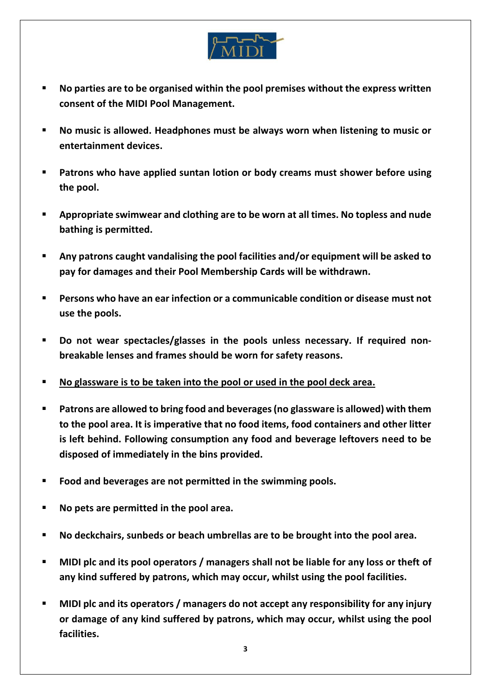

- **No parties are to be organised within the pool premises without the express written consent of the MIDI Pool Management.**
- No music is allowed. Headphones must be always worn when listening to music or **entertainment devices.**
- **Patrons who have applied suntan lotion or body creams must shower before using the pool.**
- **Appropriate swimwear and clothing are to be worn at all times. No topless and nude bathing is permitted.**
- **Any patrons caught vandalising the pool facilities and/or equipment will be asked to pay for damages and their Pool Membership Cards will be withdrawn.**
- **Persons who have an ear infection or a communicable condition or disease must not use the pools.**
- **Do not wear spectacles/glasses in the pools unless necessary. If required nonbreakable lenses and frames should be worn for safety reasons.**
- **No glassware is to be taken into the pool or used in the pool deck area.**
- **Patrons are allowed to bring food and beverages (no glassware is allowed) with them to the pool area. It is imperative that no food items, food containers and other litter is left behind. Following consumption any food and beverage leftovers need to be disposed of immediately in the bins provided.**
- **Food and beverages are not permitted in the swimming pools.**
- **No pets are permitted in the pool area.**
- **No deckchairs, sunbeds or beach umbrellas are to be brought into the pool area.**
- **MIDI plc and its pool operators / managers shall not be liable for any loss or theft of any kind suffered by patrons, which may occur, whilst using the pool facilities.**
- **MIDI plc and its operators / managers do not accept any responsibility for any injury or damage of any kind suffered by patrons, which may occur, whilst using the pool facilities.**